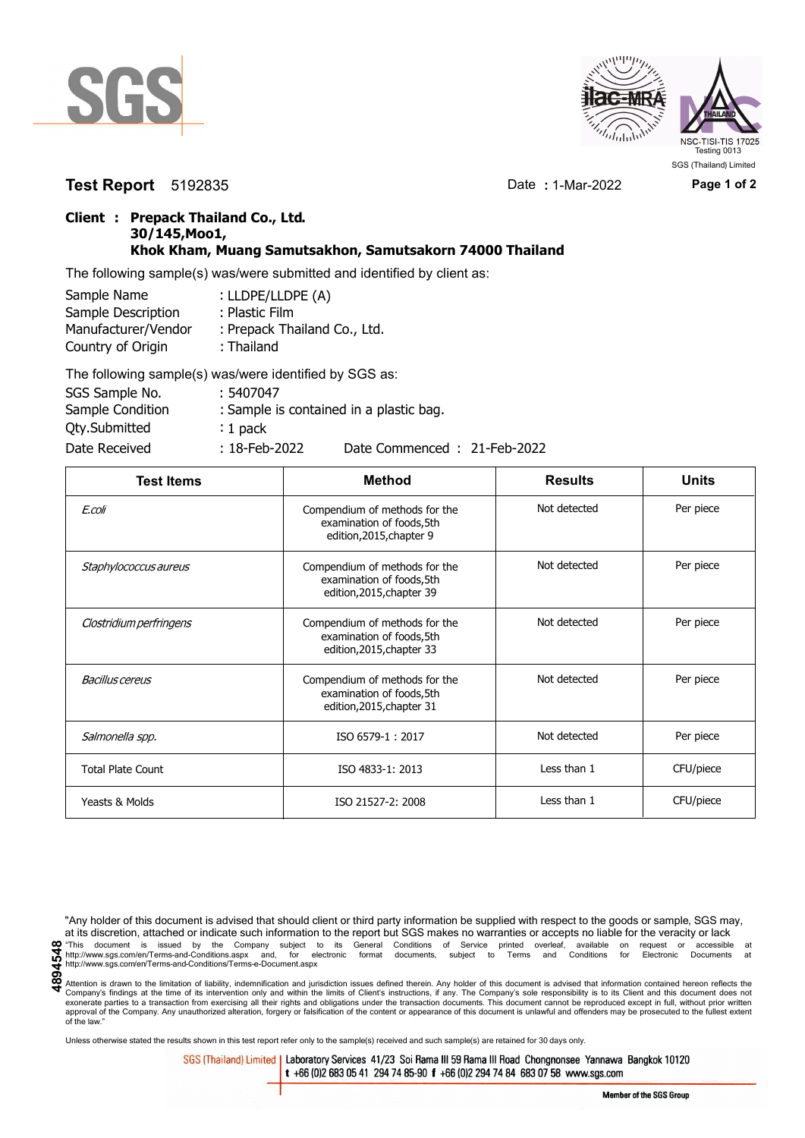



**Test Report** 5192835 Date **:** 1-Mar-2022 **Page 1 of 2**

## **Client : Prepack Thailand Co., Ltd. 30/145,Moo1, Khok Kham, Muang Samutsakhon, Samutsakorn 74000 Thailand**

The following sample(s) was/were submitted and identified by client as:

| Sample Name         | : LLDPE/LLDPE (A)            |
|---------------------|------------------------------|
| Sample Description  | : Plastic Film               |
| Manufacturer/Vendor | : Prepack Thailand Co., Ltd. |
| Country of Origin   | : Thailand                   |
|                     | TIPULI III III III AAA       |

| The following sample(s) was/were identified by SGS as: |                  |                                         |
|--------------------------------------------------------|------------------|-----------------------------------------|
| SGS Sample No.                                         | : 5407047        |                                         |
| Sample Condition                                       |                  | : Sample is contained in a plastic bag. |
| Qty.Submitted                                          | : $1$ pack       |                                         |
| Date Received                                          | $: 18$ -Feb-2022 | Date Commenced: 21-Feb-2022             |

| <b>Test Items</b>        | Method                                                                                  | <b>Results</b> | <b>Units</b> |
|--------------------------|-----------------------------------------------------------------------------------------|----------------|--------------|
| E.coli                   | Compendium of methods for the<br>examination of foods, 5th<br>edition, 2015, chapter 9  | Not detected   | Per piece    |
| Staphylococcus aureus    | Compendium of methods for the<br>examination of foods, 5th<br>edition, 2015, chapter 39 | Not detected   | Per piece    |
| Clostridium perfringens  | Compendium of methods for the<br>examination of foods, 5th<br>edition, 2015, chapter 33 | Not detected   | Per piece    |
| <b>Bacillus cereus</b>   | Compendium of methods for the<br>examination of foods, 5th<br>edition, 2015, chapter 31 | Not detected   | Per piece    |
| Salmonella spp.          | ISO 6579-1: 2017                                                                        | Not detected   | Per piece    |
| <b>Total Plate Count</b> | ISO 4833-1: 2013                                                                        | Less than 1    | CFU/piece    |
| Yeasts & Molds           | ISO 21527-2: 2008                                                                       | Less than 1    | CFU/piece    |

"Any holder of this document is advised that should client or third party information be supplied with respect to the goods or sample, SGS may, at its discretion, attached or indicate such information to the report but SGS makes no warranties or accepts no liable for the veracity or lack This document is issued by the Company subject to its General Conditions of Service printed overleaf, available on request or accessible at the entropy.//www.sgs.com/en/Terms-and-Conditions.aspx and, for electronic format

Attention is drawn to the limitation of liability, indemnification and jurisdiction issues defined therein. Any holder of this document is advised that information contained hereon reflects the Company's findings at the time of its intervention only and within the limits of Client's instructions, if any. The Company's sole responsibility is to its Client and this document does not<br>exonerate parties to a transacti approval of the Company. Any unauthorized alteration, forgery or falsification of the content or appearance of this document is unlawful and offenders may be prosecuted to the fullest extent approval of the Company. Any un of the law."

Unless otherwise stated the results shown in this test report refer only to the sample(s) received and such sample(s) are retained for 30 days only.

SGS (Thailand) Limited | Laboratory Services 41/23 Soi Rama III 59 Rama III Road Chongnonsee Yannawa Bangkok 10120 t +66 (0)2 683 05 41 294 74 85-90 f +66 (0)2 294 74 84 683 07 58 www.sgs.com